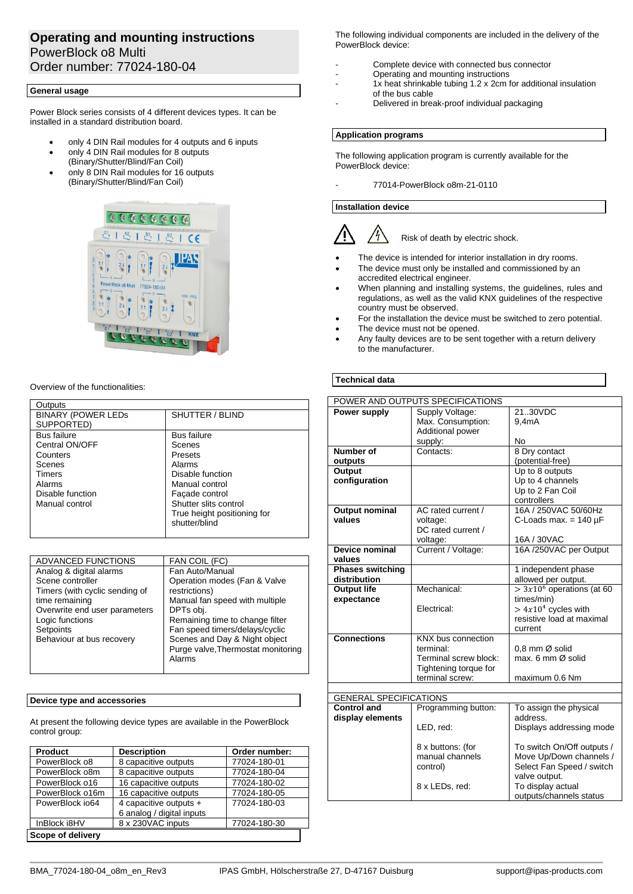# **Operating and mounting instructions** PowerBlock o8 Multi Order number: 77024-180-04

# **General usage**

Power Block series consists of 4 different devices types. It can be installed in a standard distribution board.

- only 4 DIN Rail modules for 4 outputs and 6 inputs
- only 4 DIN Rail modules for 8 outputs (Binary/Shutter/Blind/Fan Coil)
- only 8 DIN Rail modules for 16 outputs (Binary/Shutter/Blind/Fan Coil)



#### Overview of the functionalities:

| Outputs                   |                             |
|---------------------------|-----------------------------|
| <b>BINARY (POWER LEDS</b> | SHUTTER / BLIND             |
| SUPPORTED)                |                             |
| <b>Bus failure</b>        | <b>Bus failure</b>          |
| Central ON/OFF            | Scenes                      |
| Counters                  | Presets                     |
| Scenes                    | Alarms                      |
| Timers                    | Disable function            |
| Alarms                    | Manual control              |
| Disable function          | Façade control              |
| Manual control            | Shutter slits control       |
|                           | True height positioning for |
|                           | shutter/blind               |
|                           |                             |

| ADVANCED FUNCTIONS             | FAN COIL (FC)                      |
|--------------------------------|------------------------------------|
| Analog & digital alarms        | Fan Auto/Manual                    |
| Scene controller               | Operation modes (Fan & Valve       |
| Timers (with cyclic sending of | restrictions)                      |
| time remaining                 | Manual fan speed with multiple     |
| Overwrite end user parameters  | DPTs obi.                          |
| Logic functions                | Remaining time to change filter    |
| Setpoints                      | Fan speed timers/delays/cyclic     |
| Behaviour at bus recovery      | Scenes and Day & Night object      |
|                                | Purge valve, Thermostat monitoring |
|                                | Alarms                             |
|                                |                                    |

## **Device type and accessories**

At present the following device types are available in the PowerBlock control group:

| <b>Product</b>    | <b>Description</b>        | Order number: |
|-------------------|---------------------------|---------------|
| PowerBlock o8     | 8 capacitive outputs      | 77024-180-01  |
| PowerBlock o8m    | 8 capacitive outputs      | 77024-180-04  |
| PowerBlock o16    | 16 capacitive outputs     | 77024-180-02  |
| PowerBlock o16m   | 16 capacitive outputs     | 77024-180-05  |
| PowerBlock io64   | 4 capacitive outputs +    | 77024-180-03  |
|                   | 6 analog / digital inputs |               |
| InBlock i8HV      | 8 x 230VAC inputs         | 77024-180-30  |
| Scope of delivery |                           |               |

The following individual components are included in the delivery of the PowerBlock device:

- Complete device with connected bus connector
- Operating and mounting instructions
- 1x heat shrinkable tubing 1.2 x 2cm for additional insulation of the bus cable
- Delivered in break-proof individual packaging

## **Application programs**

The following application program is currently available for the PowerBlock device:

- 77014-PowerBlock o8m-21-0110

## **Installation device**



- The device is intended for interior installation in dry rooms.
- The device must only be installed and commissioned by an accredited electrical engineer.
- When planning and installing systems, the guidelines, rules and regulations, as well as the valid KNX guidelines of the respective country must be observed.
- For the installation the device must be switched to zero potential.
- The device must not be opened.
- Any faulty devices are to be sent together with a return delivery to the manufacturer.

## **Technical data**

| POWER AND OUTPUTS SPECIFICATIONS |                       |                              |
|----------------------------------|-----------------------|------------------------------|
| Power supply                     | Supply Voltage:       | 21.30VDC                     |
|                                  | Max. Consumption:     | 9.4 <sub>m</sub> A           |
|                                  | Additional power      |                              |
|                                  | supply:               | <b>No</b>                    |
| Number of                        | Contacts:             | 8 Dry contact                |
| outputs                          |                       | (potential-free)             |
| Output                           |                       | Up to 8 outputs              |
| configuration                    |                       | Up to 4 channels             |
|                                  |                       | Up to 2 Fan Coil             |
|                                  |                       | controllers                  |
| <b>Output nominal</b>            | AC rated current /    | 16A / 250VAC 50/60Hz         |
| values                           | voltage:              | C-Loads max. = $140 \mu F$   |
|                                  | DC rated current /    |                              |
| Device nominal                   | voltage:              | 16A / 30VAC                  |
| values                           | Current / Voltage:    | 16A /250VAC per Output       |
| <b>Phases switching</b>          |                       | 1 independent phase          |
| distribution                     |                       | allowed per output.          |
| <b>Output life</b>               | Mechanical:           | $> 3x106$ operations (at 60  |
| expectance                       |                       | times/min)                   |
|                                  | Electrical:           | $> 4x104$ cycles with        |
|                                  |                       | resistive load at maximal    |
|                                  |                       | current                      |
| <b>Connections</b>               | KNX bus connection    |                              |
|                                  | terminal:             | $0.8$ mm $\varnothing$ solid |
|                                  | Terminal screw block: | max. 6 mm Ø solid            |
|                                  | Tightening torque for |                              |
|                                  | terminal screw:       | maximum 0.6 Nm               |
|                                  |                       |                              |
| <b>GENERAL SPECIFICATIONS</b>    |                       |                              |
| <b>Control and</b>               | Programming button:   | To assign the physical       |
| display elements                 |                       | address.                     |
|                                  | LED, red:             | Displays addressing mode     |
|                                  | 8 x buttons: (for     | To switch On/Off outputs /   |
|                                  | manual channels       | Move Up/Down channels /      |
|                                  | control)              | Select Fan Speed / switch    |
|                                  |                       | valve output.                |
|                                  | 8 x LEDs, red:        | To display actual            |
|                                  |                       | outputs/channels status      |
|                                  |                       |                              |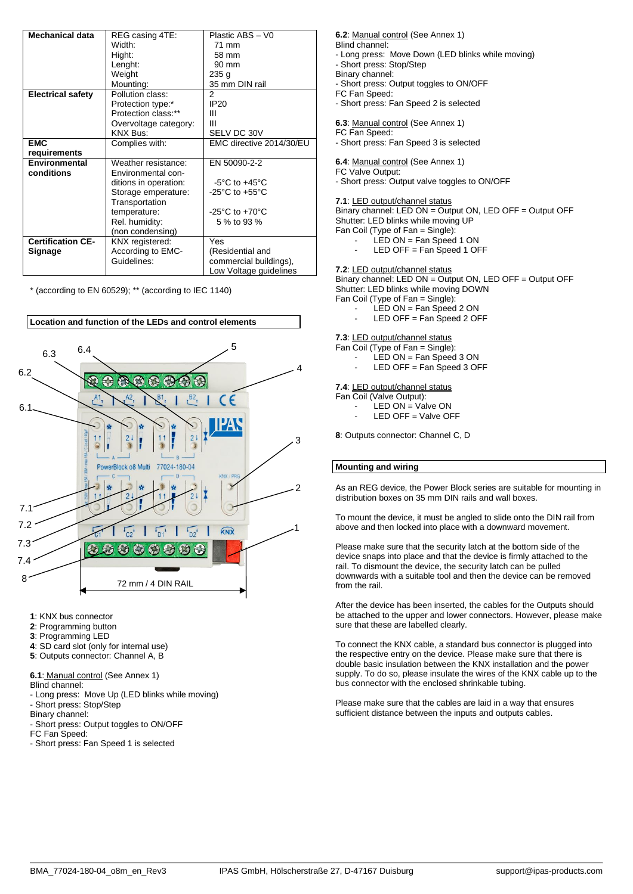| <b>Mechanical data</b>   | REG casing 4TE:       | Plastic ABS - V0                     |
|--------------------------|-----------------------|--------------------------------------|
|                          | Width:                | 71 mm                                |
|                          | Hight:                | 58 mm                                |
|                          | Lenght:               | 90 mm                                |
|                          | Weight                | 235 <sub>g</sub>                     |
|                          | Mounting:             | 35 mm DIN rail                       |
| <b>Electrical safety</b> | Pollution class:      | 2                                    |
|                          | Protection type:*     | <b>IP20</b>                          |
|                          | Protection class:**   | Ш                                    |
|                          | Overvoltage category: | Ш                                    |
|                          | <b>KNX Bus:</b>       | SELV DC 30V                          |
| <b>EMC</b>               | Complies with:        | EMC directive 2014/30/EU             |
| requirements             |                       |                                      |
| Environmental            | Weather resistance:   | EN 50090-2-2                         |
| conditions               | Environmental con-    |                                      |
|                          | ditions in operation: | $-5^{\circ}$ C to $+45^{\circ}$ C    |
|                          | Storage emperature:   | -25 $^{\circ}$ C to +55 $^{\circ}$ C |
|                          | Transportation        |                                      |
|                          | temperature:          | -25 $^{\circ}$ C to +70 $^{\circ}$ C |
|                          | Rel. humidity:        | 5 % to 93 %                          |
|                          | (non condensing)      |                                      |
| <b>Certification CE-</b> | KNX registered:       | Yes                                  |
| <b>Signage</b>           | According to EMC-     | (Residential and                     |
|                          | Guidelines:           | commercial buildings),               |
|                          |                       | Low Voltage guidelines               |

\* (according to EN 60529); \*\* (according to IEC 1140)



- **1**: KNX bus connector
- **2**: Programming button
- **3**: Programming LED
- **4**: SD card slot (only for internal use)
- **5**: Outputs connector: Channel A, B

**6.1**: Manual control (See Annex 1)

- Blind channel:
- Long press: Move Up (LED blinks while moving) - Short press: Stop/Step
- Binary channel:

- Short press: Output toggles to ON/OFF

FC Fan Speed:

- Short press: Fan Speed 1 is selected

**6.2**: Manual control (See Annex 1) Blind channel: - Long press: Move Down (LED blinks while moving)

- 
- Short press: Stop/Step Binary channel:

- Short press: Output toggles to ON/OFF

- FC Fan Speed:
- Short press: Fan Speed 2 is selected

**6.3**: Manual control (See Annex 1)

FC Fan Speed:

- Short press: Fan Speed 3 is selected

# **6.4**: Manual control (See Annex 1)

FC Valve Output:

- Short press: Output valve toggles to ON/OFF

**7.1**: LED output/channel status

Binary channel: LED ON = Output ON, LED OFF = Output OFF Shutter: LED blinks while moving UP Fan Coil (Type of Fan = Single):

- LED ON = Fan Speed 1 ON
	- LED OFF = Fan Speed 1 OFF

**7.2**: LED output/channel status

Binary channel: LED ON = Output ON, LED OFF = Output OFF Shutter: LED blinks while moving DOWN Fan Coil (Type of Fan = Single):

LED ON = Fan Speed 2 ON

LED OFF = Fan Speed 2 OFF

**7.3**: LED output/channel status

Fan Coil (Type of Fan = Single):

- LED ON = Fan Speed 3 ON
- LED OFF = Fan Speed  $3$  OFF

**7.4**: LED output/channel status

Fan Coil (Valve Output):

- LED ON = Valve ON
- LED OFF = Valve OFF

**8**: Outputs connector: Channel C, D

## **Mounting and wiring**

As an REG device, the Power Block series are suitable for mounting in distribution boxes on 35 mm DIN rails and wall boxes.

To mount the device, it must be angled to slide onto the DIN rail from above and then locked into place with a downward movement.

Please make sure that the security latch at the bottom side of the device snaps into place and that the device is firmly attached to the rail. To dismount the device, the security latch can be pulled downwards with a suitable tool and then the device can be removed from the rail.

After the device has been inserted, the cables for the Outputs should be attached to the upper and lower connectors. However, please make sure that these are labelled clearly.

To connect the KNX cable, a standard bus connector is plugged into the respective entry on the device. Please make sure that there is double basic insulation between the KNX installation and the power supply. To do so, please insulate the wires of the KNX cable up to the bus connector with the enclosed shrinkable tubing.

Please make sure that the cables are laid in a way that ensures sufficient distance between the inputs and outputs cables.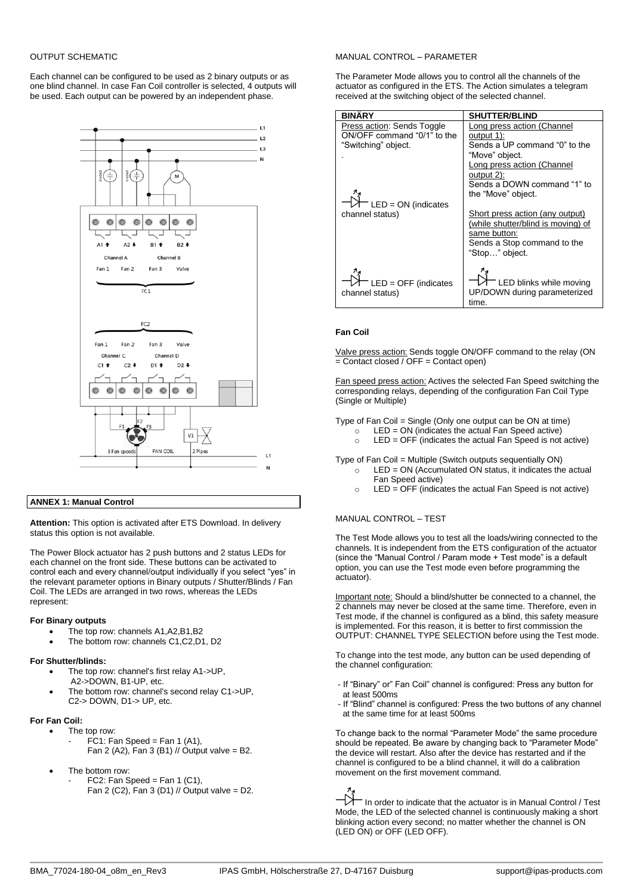## OUTPUT SCHEMATIC

Each channel can be configured to be used as 2 binary outputs or as one blind channel. In case Fan Coil controller is selected, 4 outputs will be used. Each output can be powered by an independent phase.



## **ANNEX 1: Manual Control**

**Attention:** This option is activated after ETS Download. In delivery status this option is not available.

The Power Block actuator has 2 push buttons and 2 status LEDs for each channel on the front side. These buttons can be activated to control each and every channel/output individually if you select "yes" in the relevant parameter options in Binary outputs / Shutter/Blinds / Fan Coil. The LEDs are arranged in two rows, whereas the LEDs represent:

#### **For Binary outputs**

- The top row: channels A1, A2, B1, B2
- The bottom row: channels C1,C2,D1, D2

#### **For Shutter/blinds:**

- The top row: channel's first relay A1->UP, A2->DOWN, B1-UP, etc.
- The bottom row: channel's second relay C1->UP, C2-> DOWN, D1-> UP, etc.

#### **For Fan Coil:**

- The top row:
	- FC1: Fan Speed = Fan 1 (A1), Fan 2 (A2), Fan 3 (B1) // Output valve = B2.
- The bottom row:
	- FC2: Fan Speed = Fan 1 (C1), Fan 2 (C2), Fan 3 (D1) // Output valve = D2.

#### MANUAL CONTROL – PARAMETER

The Parameter Mode allows you to control all the channels of the actuator as configured in the ETS. The Action simulates a telegram received at the switching object of the selected channel.

| <b>BINÄRY</b>                                                                    | <b>SHUTTER/BLIND</b>                                                                                                                                                                         |
|----------------------------------------------------------------------------------|----------------------------------------------------------------------------------------------------------------------------------------------------------------------------------------------|
| Press action: Sends Toggle<br>ON/OFF command "0/1" to the<br>"Switching" object. | Long press action (Channel<br>output 1):<br>Sends a UP command "0" to the<br>"Move" object.<br>Long press action (Channel<br>output 2):<br>Sends a DOWN command "1" to<br>the "Move" object. |
| $^-$ LED = ON (indicates<br>channel status)                                      | Short press action (any output)<br>(while shutter/blind is moving) of<br>same button:<br>Sends a Stop command to the<br>"Stop" object.                                                       |
| $^-$ LED = OFF (indicates<br>channel status)                                     | <sup>-</sup> LED blinks while moving<br>UP/DOWN during parameterized<br>time.                                                                                                                |

#### **Fan Coil**

Valve press action: Sends toggle ON/OFF command to the relay (ON  $=$  Contact closed / OFF = Contact open)

Fan speed press action: Actives the selected Fan Speed switching the corresponding relays, depending of the configuration Fan Coil Type (Single or Multiple)

Type of Fan Coil = Single (Only one output can be ON at time)

- $LED = ON$  (indicates the actual Fan Speed active)
- $\circ$  LED = OFF (indicates the actual Fan Speed is not active)

Type of Fan Coil = Multiple (Switch outputs sequentially ON)

- $\circ$  LED = ON (Accumulated ON status, it indicates the actual Fan Speed active)
- $\circ$  LED = OFF (indicates the actual Fan Speed is not active)

## MANUAL CONTROL – TEST

The Test Mode allows you to test all the loads/wiring connected to the channels. It is independent from the ETS configuration of the actuator (since the "Manual Control / Param mode + Test mode" is a default option, you can use the Test mode even before programming the actuator).

Important note: Should a blind/shutter be connected to a channel, the 2 channels may never be closed at the same time. Therefore, even in Test mode, if the channel is configured as a blind, this safety measure is implemented. For this reason, it is better to first commission the OUTPUT: CHANNEL TYPE SELECTION before using the Test mode.

To change into the test mode, any button can be used depending of the channel configuration:

- If "Binary" or" Fan Coil" channel is configured: Press any button for at least 500ms
- If "Blind" channel is configured: Press the two buttons of any channel at the same time for at least 500ms

To change back to the normal "Parameter Mode" the same procedure should be repeated. Be aware by changing back to "Parameter Mode" the device will restart. Also after the device has restarted and if the channel is configured to be a blind channel, it will do a calibration movement on the first movement command.

In order to indicate that the actuator is in Manual Control / Test Mode, the LED of the selected channel is continuously making a short blinking action every second; no matter whether the channel is ON (LED ON) or OFF (LED OFF).